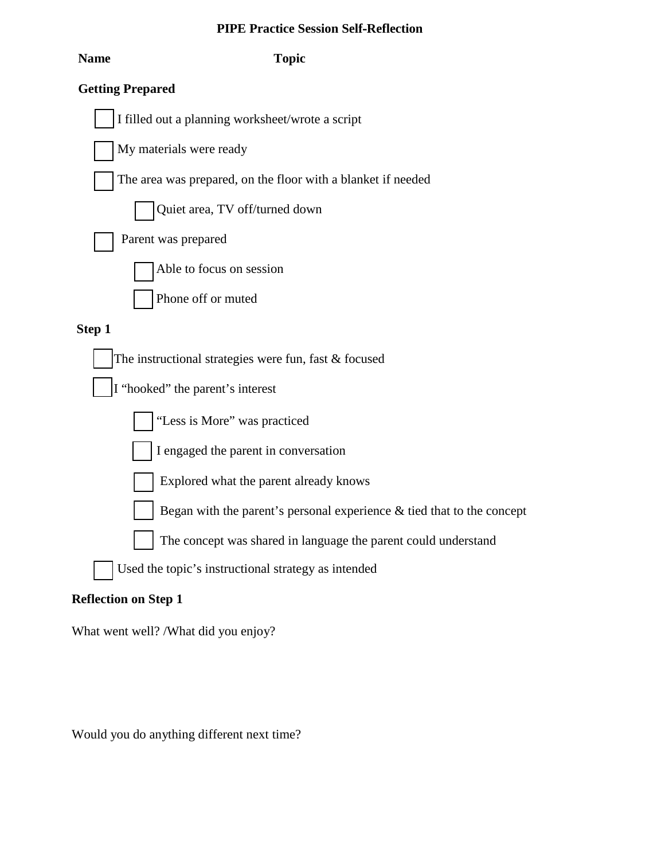## **PIPE Practice Session Self-Reflection**

**Name Topic** 

## **Getting Prepared**



## **Reflection on Step 1**

What went well? /What did you enjoy?

Would you do anything different next time?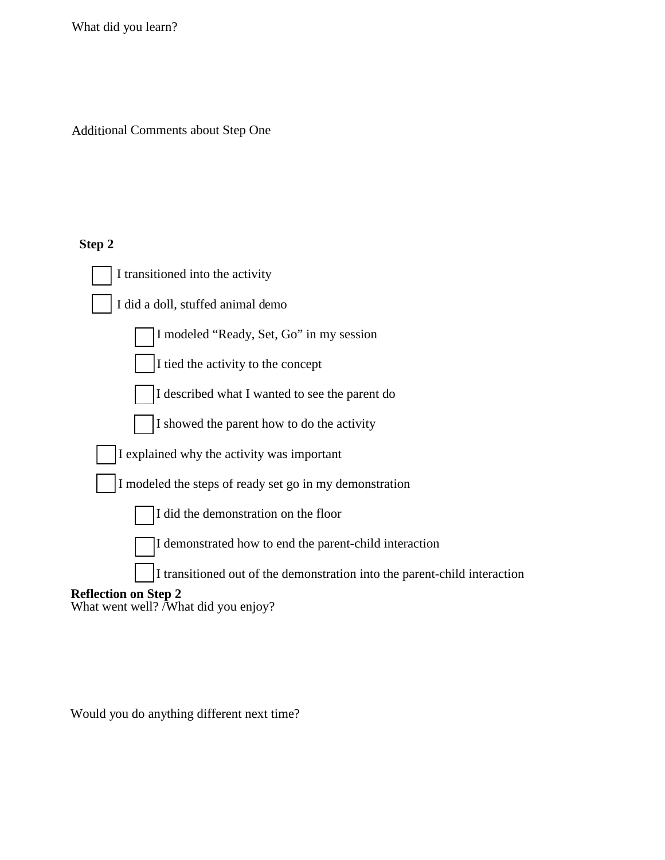Additional Comments about Step One

## **Step 2**

| I transitioned into the activity                                          |
|---------------------------------------------------------------------------|
| I did a doll, stuffed animal demo                                         |
| I modeled "Ready, Set, Go" in my session                                  |
| I tied the activity to the concept                                        |
| I described what I wanted to see the parent do                            |
| I showed the parent how to do the activity                                |
| I explained why the activity was important                                |
| I modeled the steps of ready set go in my demonstration                   |
| I did the demonstration on the floor                                      |
| I demonstrated how to end the parent-child interaction                    |
| I transitioned out of the demonstration into the parent-child interaction |
| <b>Reflection on Step 2</b><br>What went well? /What did you enjoy?       |

Would you do anything different next time?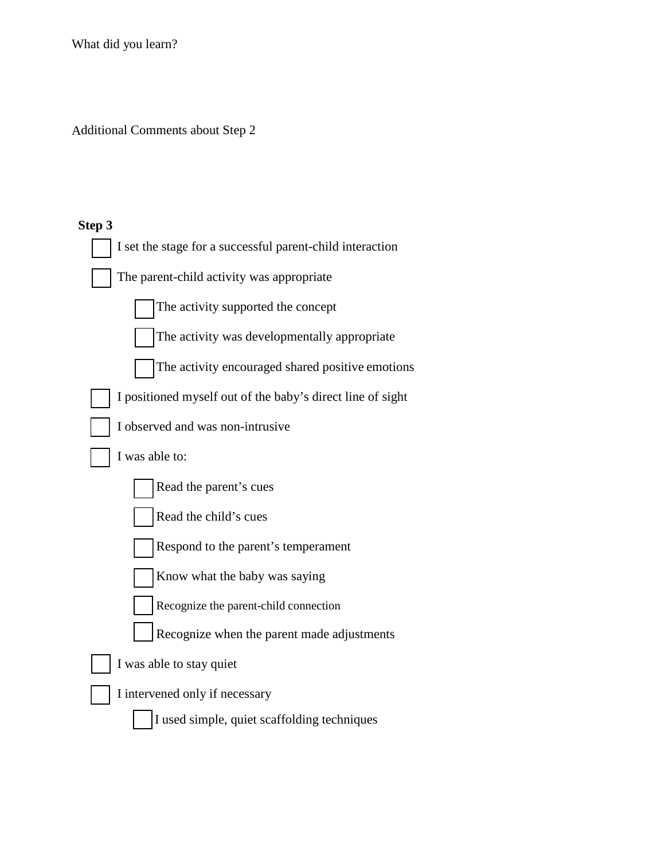| <b>Additional Comments about Step 2</b> |  |  |
|-----------------------------------------|--|--|
|-----------------------------------------|--|--|

# **Step 3**

| I set the stage for a successful parent-child interaction  |
|------------------------------------------------------------|
| The parent-child activity was appropriate                  |
| The activity supported the concept                         |
| The activity was developmentally appropriate               |
| The activity encouraged shared positive emotions           |
| I positioned myself out of the baby's direct line of sight |
| I observed and was non-intrusive                           |
| I was able to:                                             |
| Read the parent's cues                                     |
| Read the child's cues                                      |
| Respond to the parent's temperament                        |
| Know what the baby was saying                              |
| Recognize the parent-child connection                      |
| Recognize when the parent made adjustments                 |
| I was able to stay quiet                                   |
| I intervened only if necessary                             |
| I used simple, quiet scaffolding techniques                |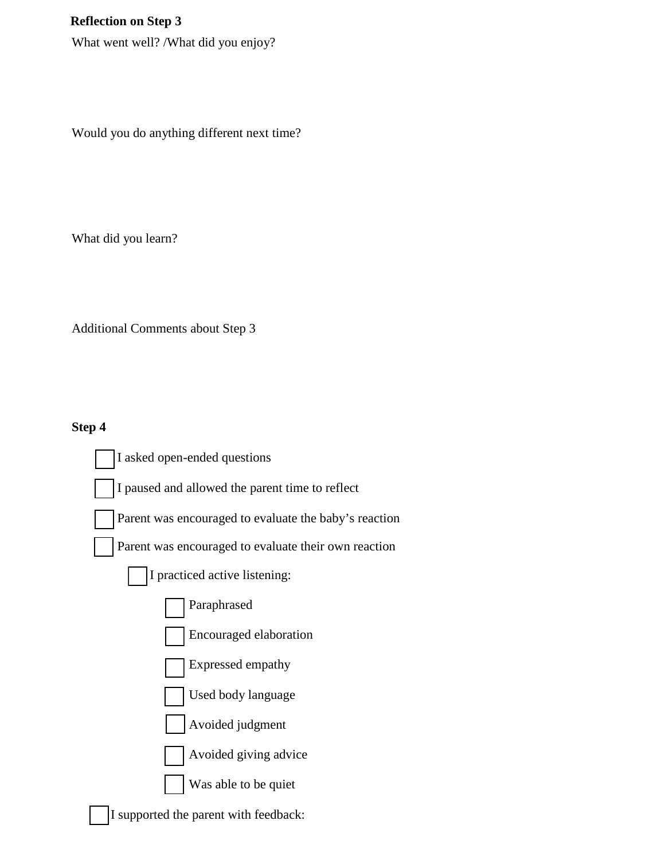## **Reflection on Step 3**

What went well? /What did you enjoy?

Would you do anything different next time?

What did you learn?

Additional Comments about Step 3

### **Step 4**